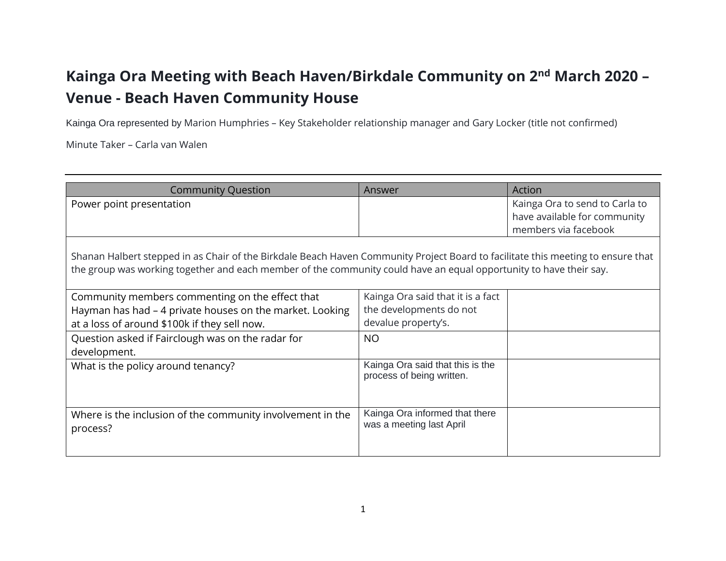## **Kainga Ora Meeting with Beach Haven/Birkdale Community on 2nd March 2020 – Venue - Beach Haven Community House**

Kainga Ora represented by Marion Humphries – Key Stakeholder relationship manager and Gary Locker (title not confirmed)

Minute Taker – Carla van Walen

| <b>Community Question</b>                                                                                                                                                                                                                              | Answer                                                        | Action                                                         |
|--------------------------------------------------------------------------------------------------------------------------------------------------------------------------------------------------------------------------------------------------------|---------------------------------------------------------------|----------------------------------------------------------------|
| Power point presentation                                                                                                                                                                                                                               |                                                               | Kainga Ora to send to Carla to<br>have available for community |
|                                                                                                                                                                                                                                                        |                                                               | members via facebook                                           |
| Shanan Halbert stepped in as Chair of the Birkdale Beach Haven Community Project Board to facilitate this meeting to ensure that<br>the group was working together and each member of the community could have an equal opportunity to have their say. |                                                               |                                                                |
| Community members commenting on the effect that                                                                                                                                                                                                        | Kainga Ora said that it is a fact                             |                                                                |
| Hayman has had – 4 private houses on the market. Looking                                                                                                                                                                                               | the developments do not                                       |                                                                |
| at a loss of around \$100k if they sell now.                                                                                                                                                                                                           | devalue property's.                                           |                                                                |
| Question asked if Fairclough was on the radar for<br>development.                                                                                                                                                                                      | <b>NO</b>                                                     |                                                                |
| What is the policy around tenancy?                                                                                                                                                                                                                     | Kainga Ora said that this is the<br>process of being written. |                                                                |
| Where is the inclusion of the community involvement in the<br>process?                                                                                                                                                                                 | Kainga Ora informed that there<br>was a meeting last April    |                                                                |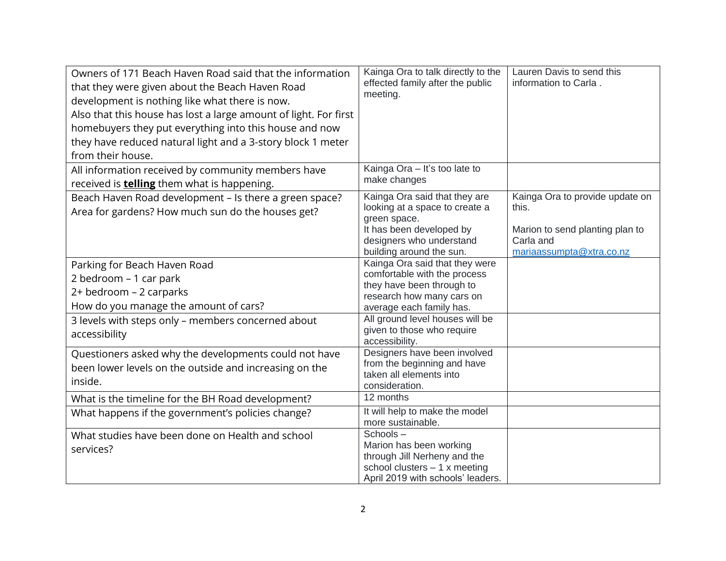| Owners of 171 Beach Haven Road said that the information<br>that they were given about the Beach Haven Road<br>development is nothing like what there is now.<br>Also that this house has lost a large amount of light. For first<br>homebuyers they put everything into this house and now<br>they have reduced natural light and a 3-story block 1 meter<br>from their house. | Kainga Ora to talk directly to the<br>effected family after the public<br>meeting.                                                                                  | Lauren Davis to send this<br>information to Carla.                                                                   |
|---------------------------------------------------------------------------------------------------------------------------------------------------------------------------------------------------------------------------------------------------------------------------------------------------------------------------------------------------------------------------------|---------------------------------------------------------------------------------------------------------------------------------------------------------------------|----------------------------------------------------------------------------------------------------------------------|
| All information received by community members have<br>received is <b>telling</b> them what is happening.                                                                                                                                                                                                                                                                        | Kainga Ora - It's too late to<br>make changes                                                                                                                       |                                                                                                                      |
| Beach Haven Road development - Is there a green space?<br>Area for gardens? How much sun do the houses get?                                                                                                                                                                                                                                                                     | Kainga Ora said that they are<br>looking at a space to create a<br>green space.<br>It has been developed by<br>designers who understand<br>building around the sun. | Kainga Ora to provide update on<br>this.<br>Marion to send planting plan to<br>Carla and<br>mariaassumpta@xtra.co.nz |
| Parking for Beach Haven Road<br>2 bedroom – 1 car park<br>2+ bedroom - 2 carparks<br>How do you manage the amount of cars?                                                                                                                                                                                                                                                      | Kainga Ora said that they were<br>comfortable with the process<br>they have been through to<br>research how many cars on<br>average each family has.                |                                                                                                                      |
| 3 levels with steps only - members concerned about<br>accessibility                                                                                                                                                                                                                                                                                                             | All ground level houses will be<br>given to those who require<br>accessibility.                                                                                     |                                                                                                                      |
| Questioners asked why the developments could not have<br>been lower levels on the outside and increasing on the<br>inside.                                                                                                                                                                                                                                                      | Designers have been involved<br>from the beginning and have<br>taken all elements into<br>consideration.                                                            |                                                                                                                      |
| What is the timeline for the BH Road development?                                                                                                                                                                                                                                                                                                                               | 12 months                                                                                                                                                           |                                                                                                                      |
| What happens if the government's policies change?                                                                                                                                                                                                                                                                                                                               | It will help to make the model<br>more sustainable.                                                                                                                 |                                                                                                                      |
| What studies have been done on Health and school<br>services?                                                                                                                                                                                                                                                                                                                   | $Schools -$<br>Marion has been working<br>through Jill Nerheny and the<br>school clusters $-1$ x meeting<br>April 2019 with schools' leaders.                       |                                                                                                                      |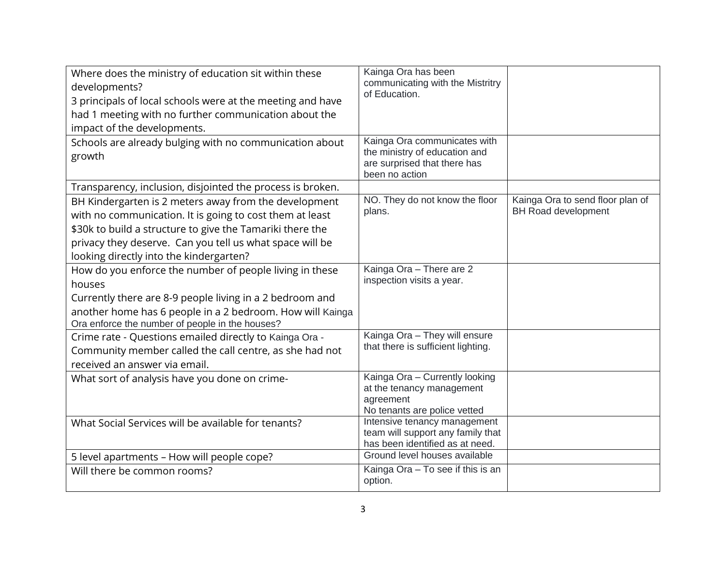| Where does the ministry of education sit within these<br>developments?<br>3 principals of local schools were at the meeting and have<br>had 1 meeting with no further communication about the<br>impact of the developments.                                                          | Kainga Ora has been<br>communicating with the Mistritry<br>of Education.                                        |                                                                |
|---------------------------------------------------------------------------------------------------------------------------------------------------------------------------------------------------------------------------------------------------------------------------------------|-----------------------------------------------------------------------------------------------------------------|----------------------------------------------------------------|
| Schools are already bulging with no communication about<br>growth                                                                                                                                                                                                                     | Kainga Ora communicates with<br>the ministry of education and<br>are surprised that there has<br>been no action |                                                                |
| Transparency, inclusion, disjointed the process is broken.                                                                                                                                                                                                                            |                                                                                                                 |                                                                |
| BH Kindergarten is 2 meters away from the development<br>with no communication. It is going to cost them at least<br>\$30k to build a structure to give the Tamariki there the<br>privacy they deserve. Can you tell us what space will be<br>looking directly into the kindergarten? | NO. They do not know the floor<br>plans.                                                                        | Kainga Ora to send floor plan of<br><b>BH Road development</b> |
| How do you enforce the number of people living in these                                                                                                                                                                                                                               | Kainga Ora - There are 2                                                                                        |                                                                |
| houses                                                                                                                                                                                                                                                                                | inspection visits a year.                                                                                       |                                                                |
| Currently there are 8-9 people living in a 2 bedroom and                                                                                                                                                                                                                              |                                                                                                                 |                                                                |
| another home has 6 people in a 2 bedroom. How will Kainga<br>Ora enforce the number of people in the houses?                                                                                                                                                                          |                                                                                                                 |                                                                |
| Crime rate - Questions emailed directly to Kainga Ora -<br>Community member called the call centre, as she had not<br>received an answer via email.                                                                                                                                   | Kainga Ora - They will ensure<br>that there is sufficient lighting.                                             |                                                                |
| What sort of analysis have you done on crime-                                                                                                                                                                                                                                         | Kainga Ora - Currently looking<br>at the tenancy management<br>agreement<br>No tenants are police vetted        |                                                                |
| What Social Services will be available for tenants?                                                                                                                                                                                                                                   | Intensive tenancy management<br>team will support any family that<br>has been identified as at need.            |                                                                |
| 5 level apartments - How will people cope?                                                                                                                                                                                                                                            | Ground level houses available                                                                                   |                                                                |
| Will there be common rooms?                                                                                                                                                                                                                                                           | Kainga Ora - To see if this is an<br>option.                                                                    |                                                                |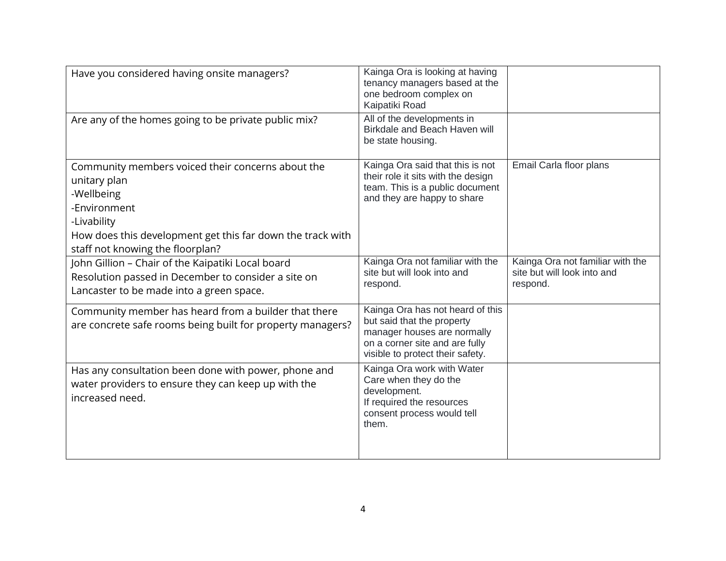| Have you considered having onsite managers?                                                                                                                                                                      | Kainga Ora is looking at having<br>tenancy managers based at the<br>one bedroom complex on<br>Kaipatiki Road                                                        |                                                                             |
|------------------------------------------------------------------------------------------------------------------------------------------------------------------------------------------------------------------|---------------------------------------------------------------------------------------------------------------------------------------------------------------------|-----------------------------------------------------------------------------|
| Are any of the homes going to be private public mix?                                                                                                                                                             | All of the developments in<br>Birkdale and Beach Haven will<br>be state housing.                                                                                    |                                                                             |
| Community members voiced their concerns about the<br>unitary plan<br>-Wellbeing<br>-Environment<br>-Livability<br>How does this development get this far down the track with<br>staff not knowing the floorplan? | Kainga Ora said that this is not<br>their role it sits with the design<br>team. This is a public document<br>and they are happy to share                            | Email Carla floor plans                                                     |
| John Gillion - Chair of the Kaipatiki Local board<br>Resolution passed in December to consider a site on<br>Lancaster to be made into a green space.                                                             | Kainga Ora not familiar with the<br>site but will look into and<br>respond.                                                                                         | Kainga Ora not familiar with the<br>site but will look into and<br>respond. |
| Community member has heard from a builder that there<br>are concrete safe rooms being built for property managers?                                                                                               | Kainga Ora has not heard of this<br>but said that the property<br>manager houses are normally<br>on a corner site and are fully<br>visible to protect their safety. |                                                                             |
| Has any consultation been done with power, phone and<br>water providers to ensure they can keep up with the<br>increased need.                                                                                   | Kainga Ora work with Water<br>Care when they do the<br>development.<br>If required the resources<br>consent process would tell<br>them.                             |                                                                             |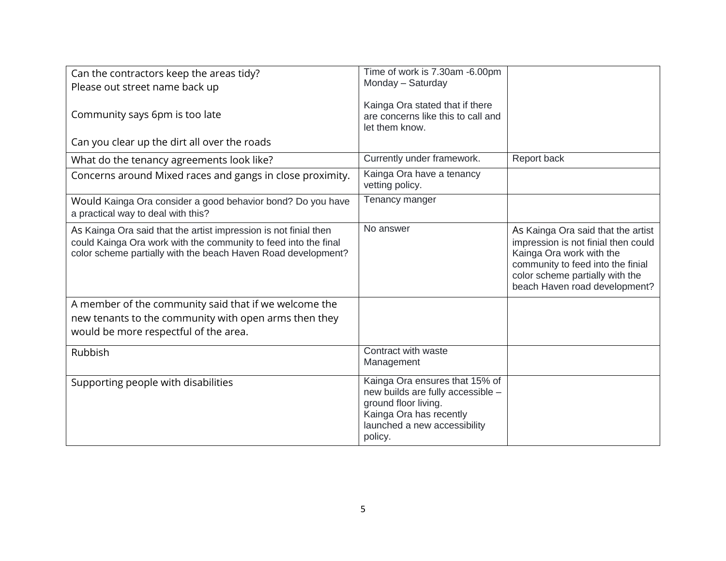| Can the contractors keep the areas tidy?<br>Please out street name back up                                                                                                                           | Time of work is 7.30am -6.00pm<br>Monday - Saturday                                                                                                               |                                                                                                                                                                                                                |
|------------------------------------------------------------------------------------------------------------------------------------------------------------------------------------------------------|-------------------------------------------------------------------------------------------------------------------------------------------------------------------|----------------------------------------------------------------------------------------------------------------------------------------------------------------------------------------------------------------|
| Community says 6pm is too late                                                                                                                                                                       | Kainga Ora stated that if there<br>are concerns like this to call and<br>let them know.                                                                           |                                                                                                                                                                                                                |
| Can you clear up the dirt all over the roads                                                                                                                                                         |                                                                                                                                                                   |                                                                                                                                                                                                                |
| What do the tenancy agreements look like?                                                                                                                                                            | Currently under framework.                                                                                                                                        | Report back                                                                                                                                                                                                    |
| Concerns around Mixed races and gangs in close proximity.                                                                                                                                            | Kainga Ora have a tenancy<br>vetting policy.                                                                                                                      |                                                                                                                                                                                                                |
| Would Kainga Ora consider a good behavior bond? Do you have<br>a practical way to deal with this?                                                                                                    | Tenancy manger                                                                                                                                                    |                                                                                                                                                                                                                |
| As Kainga Ora said that the artist impression is not finial then<br>could Kainga Ora work with the community to feed into the final<br>color scheme partially with the beach Haven Road development? | No answer                                                                                                                                                         | As Kainga Ora said that the artist<br>impression is not finial then could<br>Kainga Ora work with the<br>community to feed into the finial<br>color scheme partially with the<br>beach Haven road development? |
| A member of the community said that if we welcome the<br>new tenants to the community with open arms then they<br>would be more respectful of the area.                                              |                                                                                                                                                                   |                                                                                                                                                                                                                |
| Rubbish                                                                                                                                                                                              | Contract with waste<br>Management                                                                                                                                 |                                                                                                                                                                                                                |
| Supporting people with disabilities                                                                                                                                                                  | Kainga Ora ensures that 15% of<br>new builds are fully accessible -<br>ground floor living.<br>Kainga Ora has recently<br>launched a new accessibility<br>policy. |                                                                                                                                                                                                                |